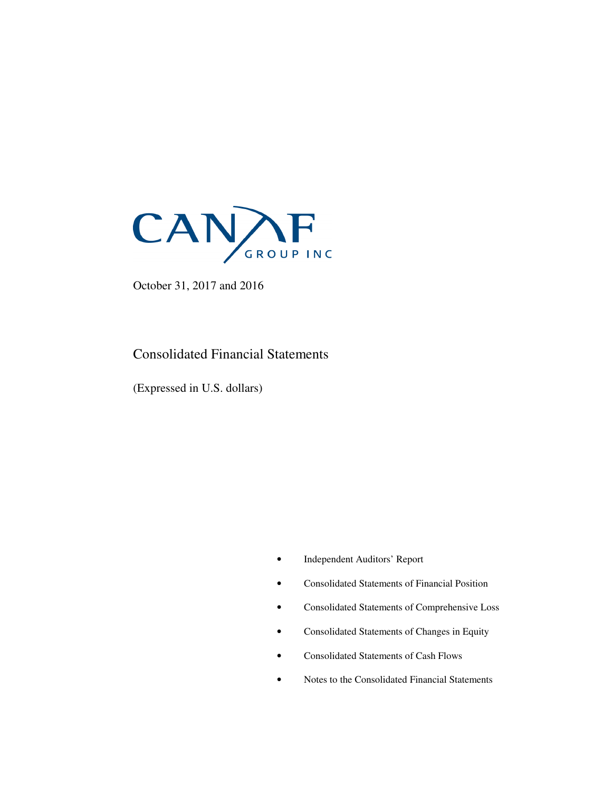

October 31, 2017 and 2016

### Consolidated Financial Statements

(Expressed in U.S. dollars)

- Independent Auditors' Report
- Consolidated Statements of Financial Position
- Consolidated Statements of Comprehensive Loss
- Consolidated Statements of Changes in Equity
- Consolidated Statements of Cash Flows
- Notes to the Consolidated Financial Statements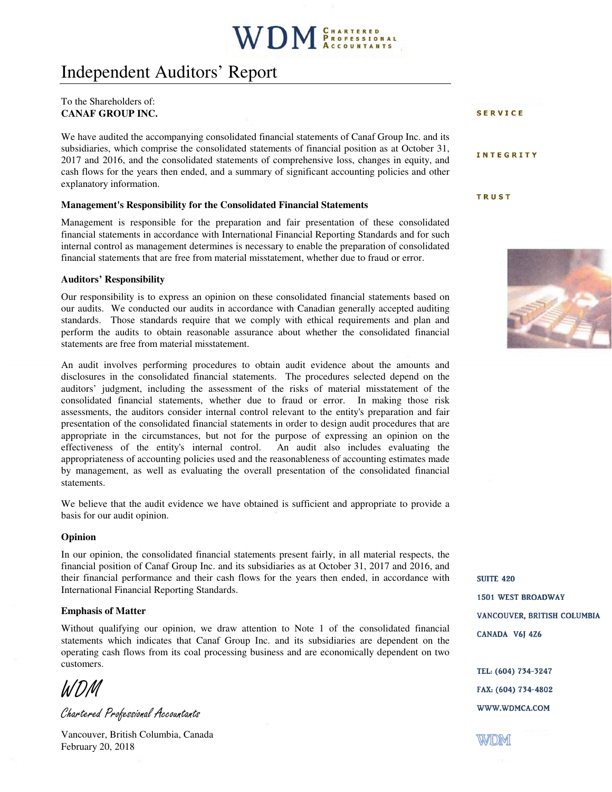# Independent Auditors' Report

#### To the Shareholders of: **CANAF GROUP INC.**

We have audited the accompanying consolidated financial statements of Canaf Group Inc. and its subsidiaries, which comprise the consolidated statements of financial position as at October 31, 2017 and 2016, and the consolidated statements of comprehensive loss, changes in equity, and cash flows for the years then ended, and a summary of significant accounting policies and other explanatory information.

#### **Management's Responsibility for the Consolidated Financial Statements**

Management is responsible for the preparation and fair presentation of these consolidated financial statements in accordance with International Financial Reporting Standards and for such internal control as management determines is necessary to enable the preparation of consolidated financial statements that are free from material misstatement, whether due to fraud or error.

#### **Auditors' Responsibility**

Our responsibility is to express an opinion on these consolidated financial statements based on our audits. We conducted our audits in accordance with Canadian generally accepted auditing standards. Those standards require that we comply with ethical requirements and plan and perform the audits to obtain reasonable assurance about whether the consolidated financial statements are free from material misstatement.

An audit involves performing procedures to obtain audit evidence about the amounts and disclosures in the consolidated financial statements. The procedures selected depend on the auditors' judgment, including the assessment of the risks of material misstatement of the consolidated financial statements, whether due to fraud or error. In making those risk assessments, the auditors consider internal control relevant to the entity's preparation and fair presentation of the consolidated financial statements in order to design audit procedures that are appropriate in the circumstances, but not for the purpose of expressing an opinion on the effectiveness of the entity's internal control. An audit also includes evaluating the appropriateness of accounting policies used and the reasonableness of accounting estimates made by management, as well as evaluating the overall presentation of the consolidated financial statements.

We believe that the audit evidence we have obtained is sufficient and appropriate to provide a basis for our audit opinion.

#### **Opinion**

In our opinion, the consolidated financial statements present fairly, in all material respects, the financial position of Canaf Group Inc. and its subsidiaries as at October 31, 2017 and 2016, and their financial performance and their cash flows for the years then ended, in accordance with International Financial Reporting Standards.

#### **Emphasis of Matter**

Without qualifying our opinion, we draw attention to Note 1 of the consolidated financial statements which indicates that Canaf Group Inc. and its subsidiaries are dependent on the operating cash flows from its coal processing business and are economically dependent on two customers.

WDM

Chartered Professional Accountants

Vancouver, British Columbia, Canada February 20, 2018

**SERVICE** 

**INTEGRITY** 

**TRUST** 



**SUITE 420 1501 WEST BROADWAY** VANCOUVER, BRITISH COLUMBIA CANADA V6J 4Z6

TEL: (604) 734-3247 FAX: (604) 734-4802 WWW.WDMCA.COM

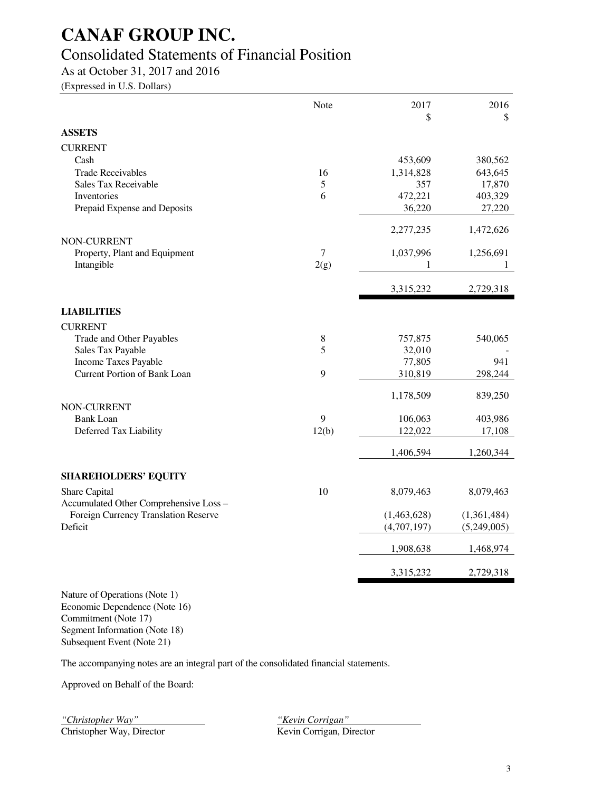## Consolidated Statements of Financial Position

As at October 31, 2017 and 2016

(Expressed in U.S. Dollars)

|                                                         | Note           | 2017<br>\$  | 2016<br>\$     |
|---------------------------------------------------------|----------------|-------------|----------------|
| <b>ASSETS</b>                                           |                |             |                |
| <b>CURRENT</b>                                          |                |             |                |
| Cash                                                    |                | 453,609     | 380,562        |
| <b>Trade Receivables</b>                                | 16             | 1,314,828   | 643,645        |
| <b>Sales Tax Receivable</b>                             | 5              | 357         | 17,870         |
| Inventories                                             | 6              | 472,221     | 403,329        |
| Prepaid Expense and Deposits                            |                | 36,220      | 27,220         |
|                                                         |                | 2,277,235   | 1,472,626      |
| <b>NON-CURRENT</b>                                      | $\overline{7}$ | 1,037,996   |                |
| Property, Plant and Equipment<br>Intangible             | 2(g)           | 1           | 1,256,691<br>1 |
|                                                         |                | 3,315,232   | 2,729,318      |
| <b>LIABILITIES</b>                                      |                |             |                |
| <b>CURRENT</b>                                          |                |             |                |
| Trade and Other Payables                                | $\,8\,$        | 757,875     | 540,065        |
| Sales Tax Payable                                       | 5              | 32,010      |                |
| <b>Income Taxes Payable</b>                             |                | 77,805      | 941            |
| <b>Current Portion of Bank Loan</b>                     | 9              | 310,819     | 298,244        |
| NON-CURRENT                                             |                | 1,178,509   | 839,250        |
| <b>Bank Loan</b>                                        | 9              | 106,063     | 403,986        |
| Deferred Tax Liability                                  | 12(b)          | 122,022     | 17,108         |
|                                                         |                | 1,406,594   | 1,260,344      |
| <b>SHAREHOLDERS' EQUITY</b>                             |                |             |                |
|                                                         | 10             |             |                |
| Share Capital<br>Accumulated Other Comprehensive Loss - |                | 8,079,463   | 8,079,463      |
| Foreign Currency Translation Reserve                    |                | (1,463,628) | (1,361,484)    |
| Deficit                                                 |                | (4,707,197) | (5,249,005)    |
|                                                         |                | 1,908,638   | 1,468,974      |
|                                                         |                | 3,315,232   | 2,729,318      |
|                                                         |                |             |                |

Nature of Operations (Note 1) Economic Dependence (Note 16) Commitment (Note 17) Segment Information (Note 18) Subsequent Event (Note 21)

The accompanying notes are an integral part of the consolidated financial statements.

Approved on Behalf of the Board:

*"Christopher Way" "Kevin Corrigan"*  Christopher Way, Director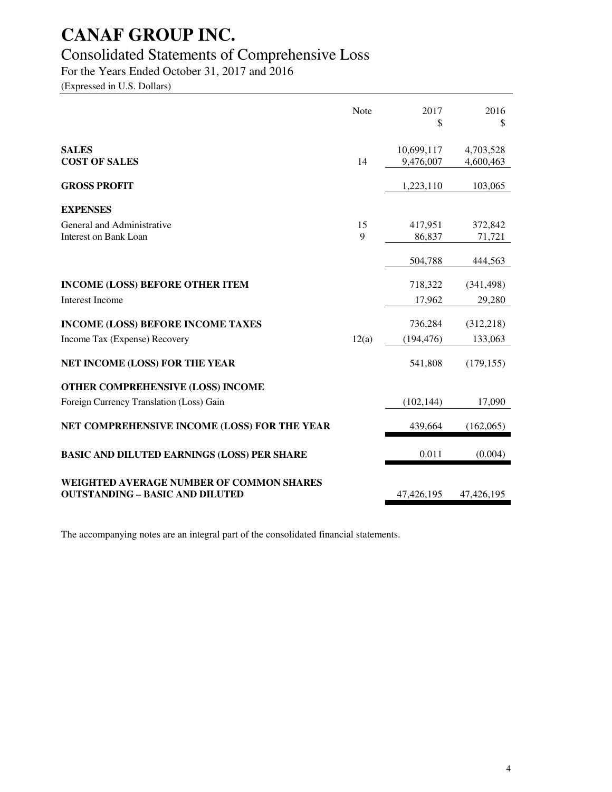# Consolidated Statements of Comprehensive Loss

For the Years Ended October 31, 2017 and 2016

(Expressed in U.S. Dollars)

|                                                                                           | Note  | 2017       | 2016                   |
|-------------------------------------------------------------------------------------------|-------|------------|------------------------|
|                                                                                           |       | \$         | \$                     |
| <b>SALES</b>                                                                              |       | 10,699,117 |                        |
| <b>COST OF SALES</b>                                                                      | 14    | 9,476,007  | 4,703,528<br>4,600,463 |
|                                                                                           |       |            |                        |
| <b>GROSS PROFIT</b>                                                                       |       | 1,223,110  | 103,065                |
| <b>EXPENSES</b>                                                                           |       |            |                        |
| General and Administrative                                                                | 15    | 417,951    | 372,842                |
| <b>Interest on Bank Loan</b>                                                              | 9     | 86,837     | 71,721                 |
|                                                                                           |       |            |                        |
|                                                                                           |       | 504,788    | 444,563                |
|                                                                                           |       |            |                        |
| <b>INCOME (LOSS) BEFORE OTHER ITEM</b>                                                    |       | 718,322    | (341, 498)             |
| <b>Interest Income</b>                                                                    |       | 17,962     | 29,280                 |
| <b>INCOME (LOSS) BEFORE INCOME TAXES</b>                                                  |       | 736,284    | (312, 218)             |
| Income Tax (Expense) Recovery                                                             | 12(a) | (194, 476) | 133,063                |
| <b>NET INCOME (LOSS) FOR THE YEAR</b>                                                     |       | 541,808    | (179, 155)             |
| <b>OTHER COMPREHENSIVE (LOSS) INCOME</b>                                                  |       |            |                        |
| Foreign Currency Translation (Loss) Gain                                                  |       | (102, 144) | 17,090                 |
| NET COMPREHENSIVE INCOME (LOSS) FOR THE YEAR                                              |       | 439,664    | (162,065)              |
| <b>BASIC AND DILUTED EARNINGS (LOSS) PER SHARE</b>                                        |       | 0.011      | (0.004)                |
| <b>WEIGHTED AVERAGE NUMBER OF COMMON SHARES</b><br><b>OUTSTANDING - BASIC AND DILUTED</b> |       | 47,426,195 | 47,426,195             |

The accompanying notes are an integral part of the consolidated financial statements.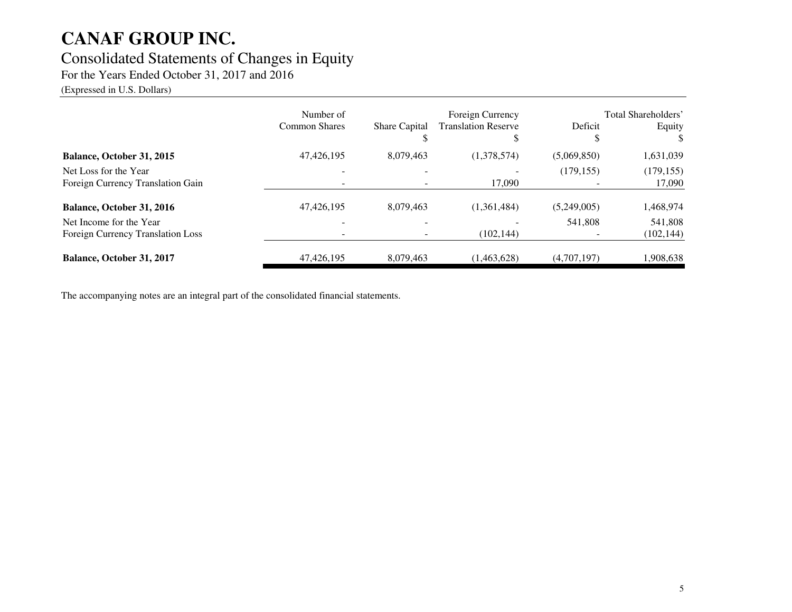## Consolidated Statements of Changes in Equity

For the Years Ended October 31, 2017 and 2016

(Expressed in U.S. Dollars)

|                                   | Number of<br><b>Common Shares</b> | <b>Share Capital</b> | Foreign Currency<br><b>Translation Reserve</b> | Deficit<br>\$ | Total Shareholders'<br>Equity |
|-----------------------------------|-----------------------------------|----------------------|------------------------------------------------|---------------|-------------------------------|
|                                   |                                   |                      | D                                              |               |                               |
| Balance, October 31, 2015         | 47,426,195                        | 8,079,463            | (1,378,574)                                    | (5,069,850)   | 1,631,039                     |
| Net Loss for the Year             |                                   |                      |                                                | (179, 155)    | (179, 155)                    |
| Foreign Currency Translation Gain |                                   |                      | 17,090                                         |               | 17,090                        |
| Balance, October 31, 2016         | 47,426,195                        | 8,079,463            | (1,361,484)                                    | (5,249,005)   | 1,468,974                     |
| Net Income for the Year           |                                   |                      |                                                | 541,808       | 541,808                       |
| Foreign Currency Translation Loss |                                   |                      | (102, 144)                                     |               | (102, 144)                    |
| Balance, October 31, 2017         | 47,426,195                        | 8,079,463            | (1,463,628)                                    | (4,707,197)   | 1,908,638                     |

The accompanying notes are an integral part of the consolidated financial statements.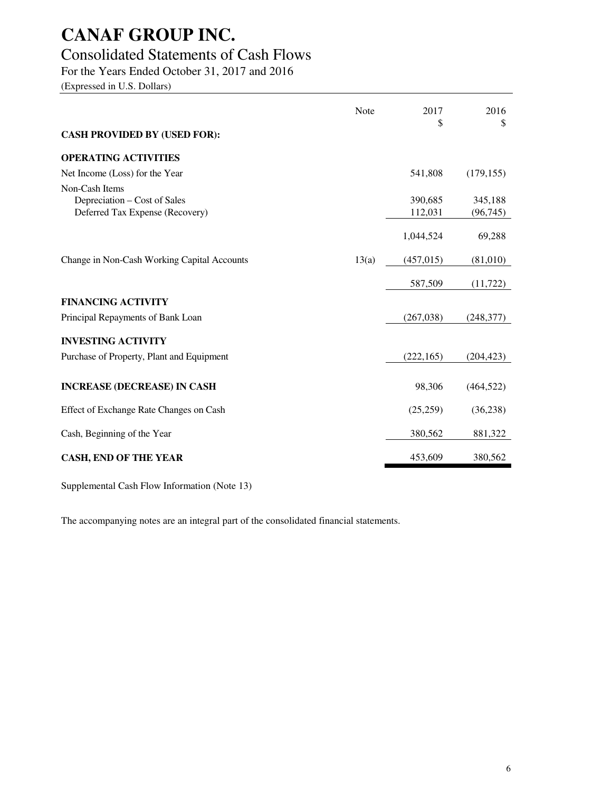## Consolidated Statements of Cash Flows

For the Years Ended October 31, 2017 and 2016

(Expressed in U.S. Dollars)

|                                             | Note  | 2017       | 2016       |
|---------------------------------------------|-------|------------|------------|
| <b>CASH PROVIDED BY (USED FOR):</b>         |       | \$         | \$         |
| <b>OPERATING ACTIVITIES</b>                 |       |            |            |
| Net Income (Loss) for the Year              |       | 541,808    | (179, 155) |
| Non-Cash Items                              |       |            |            |
| Depreciation – Cost of Sales                |       | 390,685    | 345,188    |
| Deferred Tax Expense (Recovery)             |       | 112,031    | (96, 745)  |
|                                             |       | 1,044,524  | 69,288     |
| Change in Non-Cash Working Capital Accounts | 13(a) | (457, 015) | (81,010)   |
|                                             |       | 587,509    | (11, 722)  |
| <b>FINANCING ACTIVITY</b>                   |       |            |            |
| Principal Repayments of Bank Loan           |       | (267, 038) | (248, 377) |
| <b>INVESTING ACTIVITY</b>                   |       |            |            |
| Purchase of Property, Plant and Equipment   |       | (222, 165) | (204, 423) |
|                                             |       |            |            |
| <b>INCREASE (DECREASE) IN CASH</b>          |       | 98,306     | (464, 522) |
| Effect of Exchange Rate Changes on Cash     |       | (25,259)   | (36, 238)  |
| Cash, Beginning of the Year                 |       | 380,562    | 881,322    |
| <b>CASH, END OF THE YEAR</b>                |       | 453,609    | 380,562    |

Supplemental Cash Flow Information (Note 13)

The accompanying notes are an integral part of the consolidated financial statements.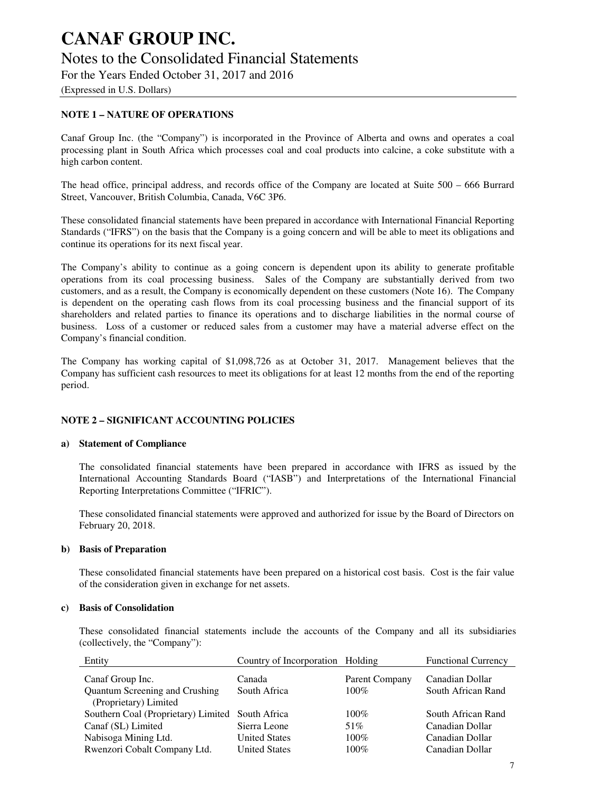### Notes to the Consolidated Financial Statements

For the Years Ended October 31, 2017 and 2016

(Expressed in U.S. Dollars)

#### **NOTE 1 – NATURE OF OPERATIONS**

Canaf Group Inc. (the "Company") is incorporated in the Province of Alberta and owns and operates a coal processing plant in South Africa which processes coal and coal products into calcine, a coke substitute with a high carbon content.

The head office, principal address, and records office of the Company are located at Suite 500 – 666 Burrard Street, Vancouver, British Columbia, Canada, V6C 3P6.

These consolidated financial statements have been prepared in accordance with International Financial Reporting Standards ("IFRS") on the basis that the Company is a going concern and will be able to meet its obligations and continue its operations for its next fiscal year.

The Company's ability to continue as a going concern is dependent upon its ability to generate profitable operations from its coal processing business. Sales of the Company are substantially derived from two customers, and as a result, the Company is economically dependent on these customers (Note 16). The Company is dependent on the operating cash flows from its coal processing business and the financial support of its shareholders and related parties to finance its operations and to discharge liabilities in the normal course of business. Loss of a customer or reduced sales from a customer may have a material adverse effect on the Company's financial condition.

The Company has working capital of \$1,098,726 as at October 31, 2017. Management believes that the Company has sufficient cash resources to meet its obligations for at least 12 months from the end of the reporting period.

#### **NOTE 2 – SIGNIFICANT ACCOUNTING POLICIES**

#### **a) Statement of Compliance**

The consolidated financial statements have been prepared in accordance with IFRS as issued by the International Accounting Standards Board ("IASB") and Interpretations of the International Financial Reporting Interpretations Committee ("IFRIC").

These consolidated financial statements were approved and authorized for issue by the Board of Directors on February 20, 2018.

#### **b) Basis of Preparation**

These consolidated financial statements have been prepared on a historical cost basis. Cost is the fair value of the consideration given in exchange for net assets.

#### **c) Basis of Consolidation**

These consolidated financial statements include the accounts of the Company and all its subsidiaries (collectively, the "Company"):

| Entity                                           | Country of Incorporation Holding |                | <b>Functional Currency</b> |
|--------------------------------------------------|----------------------------------|----------------|----------------------------|
| Canaf Group Inc.                                 | Canada                           | Parent Company | Canadian Dollar            |
| <b>Quantum Screening and Crushing</b>            | South Africa                     | $100\%$        | South African Rand         |
| (Proprietary) Limited                            |                                  |                |                            |
| Southern Coal (Proprietary) Limited South Africa |                                  | $100\%$        | South African Rand         |
| Canaf (SL) Limited                               | Sierra Leone                     | 51%            | Canadian Dollar            |
| Nabisoga Mining Ltd.                             | <b>United States</b>             | $100\%$        | Canadian Dollar            |
| Rwenzori Cobalt Company Ltd.                     | <b>United States</b>             | $100\%$        | Canadian Dollar            |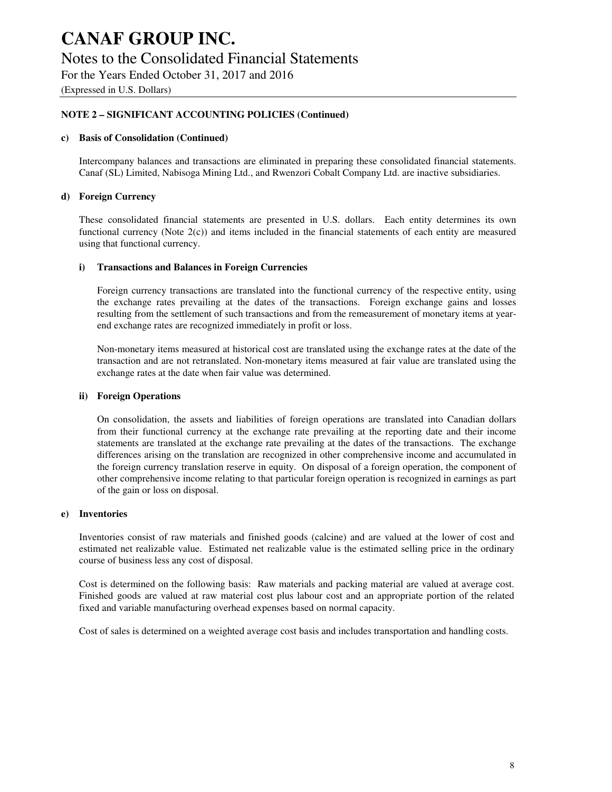## **CANAF GROUP INC.** Notes to the Consolidated Financial Statements For the Years Ended October 31, 2017 and 2016

(Expressed in U.S. Dollars)

#### **NOTE 2 – SIGNIFICANT ACCOUNTING POLICIES (Continued)**

#### **c) Basis of Consolidation (Continued)**

Intercompany balances and transactions are eliminated in preparing these consolidated financial statements. Canaf (SL) Limited, Nabisoga Mining Ltd., and Rwenzori Cobalt Company Ltd. are inactive subsidiaries.

#### **d) Foreign Currency**

These consolidated financial statements are presented in U.S. dollars. Each entity determines its own functional currency (Note 2(c)) and items included in the financial statements of each entity are measured using that functional currency.

#### **i) Transactions and Balances in Foreign Currencies**

Foreign currency transactions are translated into the functional currency of the respective entity, using the exchange rates prevailing at the dates of the transactions. Foreign exchange gains and losses resulting from the settlement of such transactions and from the remeasurement of monetary items at yearend exchange rates are recognized immediately in profit or loss.

Non-monetary items measured at historical cost are translated using the exchange rates at the date of the transaction and are not retranslated. Non-monetary items measured at fair value are translated using the exchange rates at the date when fair value was determined.

#### **ii) Foreign Operations**

On consolidation, the assets and liabilities of foreign operations are translated into Canadian dollars from their functional currency at the exchange rate prevailing at the reporting date and their income statements are translated at the exchange rate prevailing at the dates of the transactions. The exchange differences arising on the translation are recognized in other comprehensive income and accumulated in the foreign currency translation reserve in equity. On disposal of a foreign operation, the component of other comprehensive income relating to that particular foreign operation is recognized in earnings as part of the gain or loss on disposal.

#### **e) Inventories**

Inventories consist of raw materials and finished goods (calcine) and are valued at the lower of cost and estimated net realizable value. Estimated net realizable value is the estimated selling price in the ordinary course of business less any cost of disposal.

Cost is determined on the following basis: Raw materials and packing material are valued at average cost. Finished goods are valued at raw material cost plus labour cost and an appropriate portion of the related fixed and variable manufacturing overhead expenses based on normal capacity.

Cost of sales is determined on a weighted average cost basis and includes transportation and handling costs.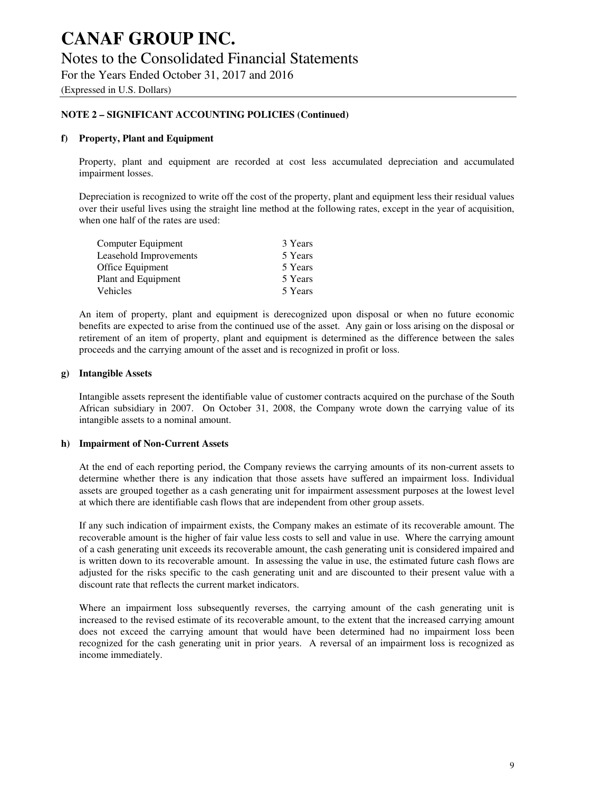## **CANAF GROUP INC.** Notes to the Consolidated Financial Statements For the Years Ended October 31, 2017 and 2016

(Expressed in U.S. Dollars)

#### **NOTE 2 – SIGNIFICANT ACCOUNTING POLICIES (Continued)**

#### **f) Property, Plant and Equipment**

Property, plant and equipment are recorded at cost less accumulated depreciation and accumulated impairment losses.

Depreciation is recognized to write off the cost of the property, plant and equipment less their residual values over their useful lives using the straight line method at the following rates, except in the year of acquisition, when one half of the rates are used:

| 3 Years |
|---------|
| 5 Years |
| 5 Years |
| 5 Years |
| 5 Years |
|         |

An item of property, plant and equipment is derecognized upon disposal or when no future economic benefits are expected to arise from the continued use of the asset. Any gain or loss arising on the disposal or retirement of an item of property, plant and equipment is determined as the difference between the sales proceeds and the carrying amount of the asset and is recognized in profit or loss.

#### **g) Intangible Assets**

Intangible assets represent the identifiable value of customer contracts acquired on the purchase of the South African subsidiary in 2007. On October 31, 2008, the Company wrote down the carrying value of its intangible assets to a nominal amount.

#### **h) Impairment of Non-Current Assets**

At the end of each reporting period, the Company reviews the carrying amounts of its non-current assets to determine whether there is any indication that those assets have suffered an impairment loss. Individual assets are grouped together as a cash generating unit for impairment assessment purposes at the lowest level at which there are identifiable cash flows that are independent from other group assets.

If any such indication of impairment exists, the Company makes an estimate of its recoverable amount. The recoverable amount is the higher of fair value less costs to sell and value in use. Where the carrying amount of a cash generating unit exceeds its recoverable amount, the cash generating unit is considered impaired and is written down to its recoverable amount. In assessing the value in use, the estimated future cash flows are adjusted for the risks specific to the cash generating unit and are discounted to their present value with a discount rate that reflects the current market indicators.

Where an impairment loss subsequently reverses, the carrying amount of the cash generating unit is increased to the revised estimate of its recoverable amount, to the extent that the increased carrying amount does not exceed the carrying amount that would have been determined had no impairment loss been recognized for the cash generating unit in prior years. A reversal of an impairment loss is recognized as income immediately.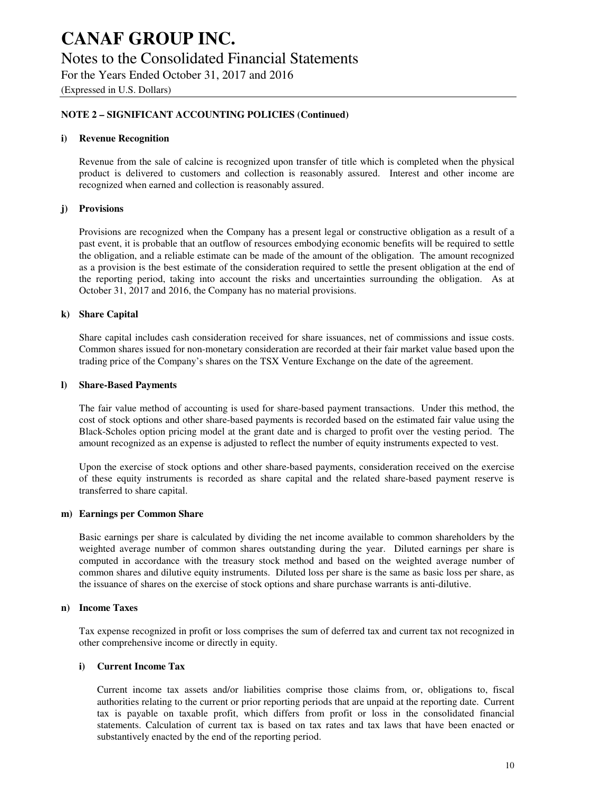## **CANAF GROUP INC.** Notes to the Consolidated Financial Statements

For the Years Ended October 31, 2017 and 2016

(Expressed in U.S. Dollars)

#### **NOTE 2 – SIGNIFICANT ACCOUNTING POLICIES (Continued)**

#### **i) Revenue Recognition**

Revenue from the sale of calcine is recognized upon transfer of title which is completed when the physical product is delivered to customers and collection is reasonably assured. Interest and other income are recognized when earned and collection is reasonably assured.

#### **j) Provisions**

Provisions are recognized when the Company has a present legal or constructive obligation as a result of a past event, it is probable that an outflow of resources embodying economic benefits will be required to settle the obligation, and a reliable estimate can be made of the amount of the obligation. The amount recognized as a provision is the best estimate of the consideration required to settle the present obligation at the end of the reporting period, taking into account the risks and uncertainties surrounding the obligation. As at October 31, 2017 and 2016, the Company has no material provisions.

#### **k) Share Capital**

Share capital includes cash consideration received for share issuances, net of commissions and issue costs. Common shares issued for non-monetary consideration are recorded at their fair market value based upon the trading price of the Company's shares on the TSX Venture Exchange on the date of the agreement.

#### **l) Share-Based Payments**

The fair value method of accounting is used for share-based payment transactions. Under this method, the cost of stock options and other share-based payments is recorded based on the estimated fair value using the Black-Scholes option pricing model at the grant date and is charged to profit over the vesting period. The amount recognized as an expense is adjusted to reflect the number of equity instruments expected to vest.

Upon the exercise of stock options and other share-based payments, consideration received on the exercise of these equity instruments is recorded as share capital and the related share-based payment reserve is transferred to share capital.

#### **m) Earnings per Common Share**

Basic earnings per share is calculated by dividing the net income available to common shareholders by the weighted average number of common shares outstanding during the year. Diluted earnings per share is computed in accordance with the treasury stock method and based on the weighted average number of common shares and dilutive equity instruments. Diluted loss per share is the same as basic loss per share, as the issuance of shares on the exercise of stock options and share purchase warrants is anti-dilutive.

#### **n) Income Taxes**

Tax expense recognized in profit or loss comprises the sum of deferred tax and current tax not recognized in other comprehensive income or directly in equity.

#### **i) Current Income Tax**

Current income tax assets and/or liabilities comprise those claims from, or, obligations to, fiscal authorities relating to the current or prior reporting periods that are unpaid at the reporting date. Current tax is payable on taxable profit, which differs from profit or loss in the consolidated financial statements. Calculation of current tax is based on tax rates and tax laws that have been enacted or substantively enacted by the end of the reporting period.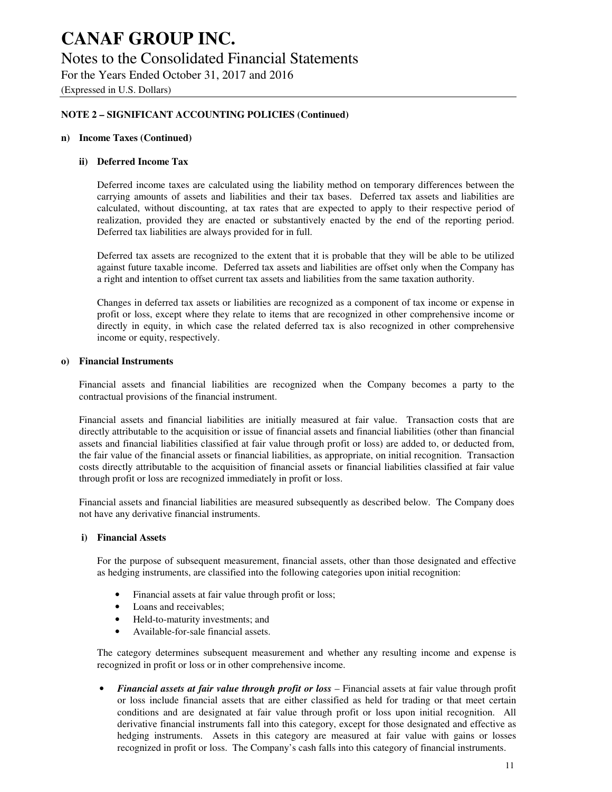### Notes to the Consolidated Financial Statements

For the Years Ended October 31, 2017 and 2016

(Expressed in U.S. Dollars)

#### **NOTE 2 – SIGNIFICANT ACCOUNTING POLICIES (Continued)**

#### **n) Income Taxes (Continued)**

#### **ii) Deferred Income Tax**

Deferred income taxes are calculated using the liability method on temporary differences between the carrying amounts of assets and liabilities and their tax bases. Deferred tax assets and liabilities are calculated, without discounting, at tax rates that are expected to apply to their respective period of realization, provided they are enacted or substantively enacted by the end of the reporting period. Deferred tax liabilities are always provided for in full.

Deferred tax assets are recognized to the extent that it is probable that they will be able to be utilized against future taxable income. Deferred tax assets and liabilities are offset only when the Company has a right and intention to offset current tax assets and liabilities from the same taxation authority.

Changes in deferred tax assets or liabilities are recognized as a component of tax income or expense in profit or loss, except where they relate to items that are recognized in other comprehensive income or directly in equity, in which case the related deferred tax is also recognized in other comprehensive income or equity, respectively.

#### **o) Financial Instruments**

Financial assets and financial liabilities are recognized when the Company becomes a party to the contractual provisions of the financial instrument.

Financial assets and financial liabilities are initially measured at fair value. Transaction costs that are directly attributable to the acquisition or issue of financial assets and financial liabilities (other than financial assets and financial liabilities classified at fair value through profit or loss) are added to, or deducted from, the fair value of the financial assets or financial liabilities, as appropriate, on initial recognition. Transaction costs directly attributable to the acquisition of financial assets or financial liabilities classified at fair value through profit or loss are recognized immediately in profit or loss.

Financial assets and financial liabilities are measured subsequently as described below. The Company does not have any derivative financial instruments.

#### **i) Financial Assets**

For the purpose of subsequent measurement, financial assets, other than those designated and effective as hedging instruments, are classified into the following categories upon initial recognition:

- Financial assets at fair value through profit or loss;
- Loans and receivables;
- Held-to-maturity investments; and
- Available-for-sale financial assets.

The category determines subsequent measurement and whether any resulting income and expense is recognized in profit or loss or in other comprehensive income.

• *Financial assets at fair value through profit or loss* – Financial assets at fair value through profit or loss include financial assets that are either classified as held for trading or that meet certain conditions and are designated at fair value through profit or loss upon initial recognition. All derivative financial instruments fall into this category, except for those designated and effective as hedging instruments. Assets in this category are measured at fair value with gains or losses recognized in profit or loss. The Company's cash falls into this category of financial instruments.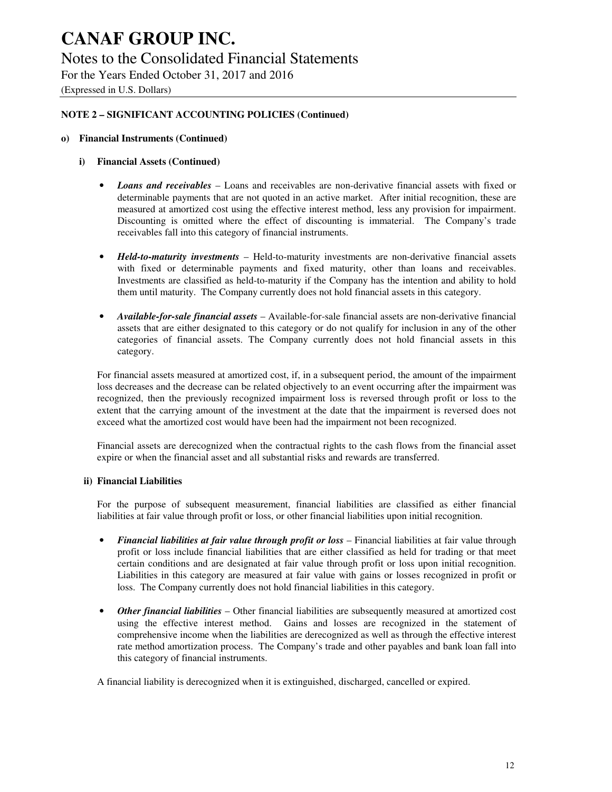### Notes to the Consolidated Financial Statements

For the Years Ended October 31, 2017 and 2016

(Expressed in U.S. Dollars)

#### **NOTE 2 – SIGNIFICANT ACCOUNTING POLICIES (Continued)**

#### **o) Financial Instruments (Continued)**

- **i) Financial Assets (Continued)** 
	- *Loans and receivables* Loans and receivables are non-derivative financial assets with fixed or determinable payments that are not quoted in an active market. After initial recognition, these are measured at amortized cost using the effective interest method, less any provision for impairment. Discounting is omitted where the effect of discounting is immaterial. The Company's trade receivables fall into this category of financial instruments.
	- *Held-to-maturity investments* Held-to-maturity investments are non-derivative financial assets with fixed or determinable payments and fixed maturity, other than loans and receivables. Investments are classified as held-to-maturity if the Company has the intention and ability to hold them until maturity. The Company currently does not hold financial assets in this category.
	- *Available-for-sale financial assets* Available-for-sale financial assets are non-derivative financial assets that are either designated to this category or do not qualify for inclusion in any of the other categories of financial assets. The Company currently does not hold financial assets in this category.

For financial assets measured at amortized cost, if, in a subsequent period, the amount of the impairment loss decreases and the decrease can be related objectively to an event occurring after the impairment was recognized, then the previously recognized impairment loss is reversed through profit or loss to the extent that the carrying amount of the investment at the date that the impairment is reversed does not exceed what the amortized cost would have been had the impairment not been recognized.

Financial assets are derecognized when the contractual rights to the cash flows from the financial asset expire or when the financial asset and all substantial risks and rewards are transferred.

#### **ii) Financial Liabilities**

For the purpose of subsequent measurement, financial liabilities are classified as either financial liabilities at fair value through profit or loss, or other financial liabilities upon initial recognition.

- *Financial liabilities at fair value through profit or loss* Financial liabilities at fair value through profit or loss include financial liabilities that are either classified as held for trading or that meet certain conditions and are designated at fair value through profit or loss upon initial recognition. Liabilities in this category are measured at fair value with gains or losses recognized in profit or loss. The Company currently does not hold financial liabilities in this category.
- *Other financial liabilities*  Other financial liabilities are subsequently measured at amortized cost using the effective interest method. Gains and losses are recognized in the statement of comprehensive income when the liabilities are derecognized as well as through the effective interest rate method amortization process. The Company's trade and other payables and bank loan fall into this category of financial instruments.

A financial liability is derecognized when it is extinguished, discharged, cancelled or expired.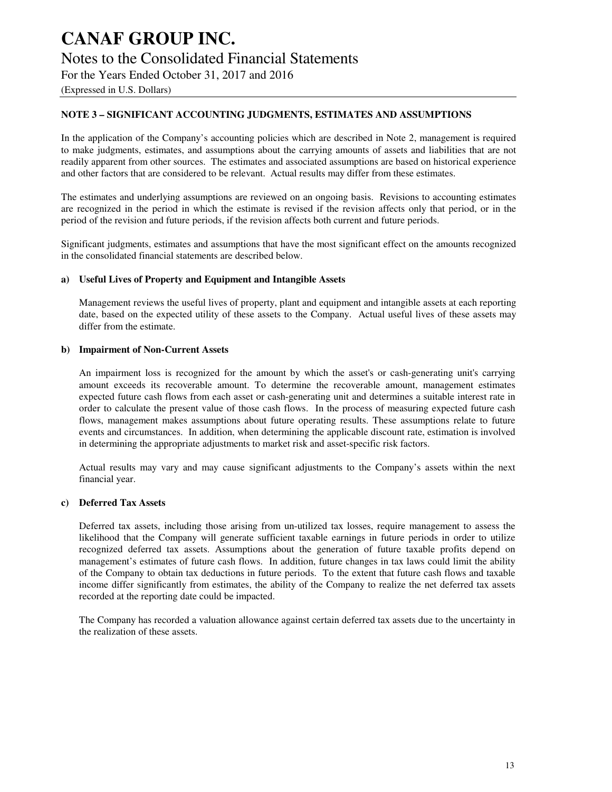## **CANAF GROUP INC.** Notes to the Consolidated Financial Statements For the Years Ended October 31, 2017 and 2016

(Expressed in U.S. Dollars)

#### **NOTE 3 – SIGNIFICANT ACCOUNTING JUDGMENTS, ESTIMATES AND ASSUMPTIONS**

In the application of the Company's accounting policies which are described in Note 2, management is required to make judgments, estimates, and assumptions about the carrying amounts of assets and liabilities that are not readily apparent from other sources. The estimates and associated assumptions are based on historical experience and other factors that are considered to be relevant. Actual results may differ from these estimates.

The estimates and underlying assumptions are reviewed on an ongoing basis. Revisions to accounting estimates are recognized in the period in which the estimate is revised if the revision affects only that period, or in the period of the revision and future periods, if the revision affects both current and future periods.

Significant judgments, estimates and assumptions that have the most significant effect on the amounts recognized in the consolidated financial statements are described below.

#### **a) Useful Lives of Property and Equipment and Intangible Assets**

Management reviews the useful lives of property, plant and equipment and intangible assets at each reporting date, based on the expected utility of these assets to the Company. Actual useful lives of these assets may differ from the estimate.

#### **b) Impairment of Non-Current Assets**

An impairment loss is recognized for the amount by which the asset's or cash-generating unit's carrying amount exceeds its recoverable amount. To determine the recoverable amount, management estimates expected future cash flows from each asset or cash-generating unit and determines a suitable interest rate in order to calculate the present value of those cash flows. In the process of measuring expected future cash flows, management makes assumptions about future operating results. These assumptions relate to future events and circumstances. In addition, when determining the applicable discount rate, estimation is involved in determining the appropriate adjustments to market risk and asset-specific risk factors.

Actual results may vary and may cause significant adjustments to the Company's assets within the next financial year.

#### **c) Deferred Tax Assets**

Deferred tax assets, including those arising from un-utilized tax losses, require management to assess the likelihood that the Company will generate sufficient taxable earnings in future periods in order to utilize recognized deferred tax assets. Assumptions about the generation of future taxable profits depend on management's estimates of future cash flows. In addition, future changes in tax laws could limit the ability of the Company to obtain tax deductions in future periods. To the extent that future cash flows and taxable income differ significantly from estimates, the ability of the Company to realize the net deferred tax assets recorded at the reporting date could be impacted.

The Company has recorded a valuation allowance against certain deferred tax assets due to the uncertainty in the realization of these assets.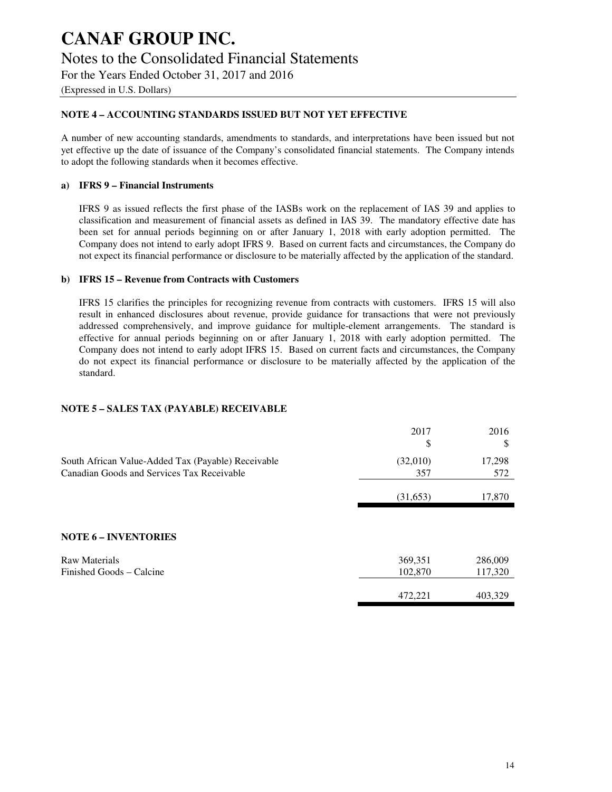## **CANAF GROUP INC.** Notes to the Consolidated Financial Statements

For the Years Ended October 31, 2017 and 2016

(Expressed in U.S. Dollars)

#### **NOTE 4 – ACCOUNTING STANDARDS ISSUED BUT NOT YET EFFECTIVE**

A number of new accounting standards, amendments to standards, and interpretations have been issued but not yet effective up the date of issuance of the Company's consolidated financial statements. The Company intends to adopt the following standards when it becomes effective.

#### **a) IFRS 9 – Financial Instruments**

IFRS 9 as issued reflects the first phase of the IASBs work on the replacement of IAS 39 and applies to classification and measurement of financial assets as defined in IAS 39. The mandatory effective date has been set for annual periods beginning on or after January 1, 2018 with early adoption permitted. The Company does not intend to early adopt IFRS 9. Based on current facts and circumstances, the Company do not expect its financial performance or disclosure to be materially affected by the application of the standard.

#### **b) IFRS 15 – Revenue from Contracts with Customers**

IFRS 15 clarifies the principles for recognizing revenue from contracts with customers. IFRS 15 will also result in enhanced disclosures about revenue, provide guidance for transactions that were not previously addressed comprehensively, and improve guidance for multiple-element arrangements. The standard is effective for annual periods beginning on or after January 1, 2018 with early adoption permitted. The Company does not intend to early adopt IFRS 15. Based on current facts and circumstances, the Company do not expect its financial performance or disclosure to be materially affected by the application of the standard.

#### **NOTE 5 – SALES TAX (PAYABLE) RECEIVABLE**

|                                                                                                  | 2017<br>\$      | 2016<br>S     |
|--------------------------------------------------------------------------------------------------|-----------------|---------------|
| South African Value-Added Tax (Payable) Receivable<br>Canadian Goods and Services Tax Receivable | (32,010)<br>357 | 17,298<br>572 |
|                                                                                                  | (31,653)        | 17,870        |
| <b>NOTE 6 - INVENTORIES</b>                                                                      |                 |               |
| <b>Raw Materials</b>                                                                             | 369,351         | 286,009       |
| Finished Goods – Calcine                                                                         | 102,870         | 117,320       |
|                                                                                                  | 472,221         | 403,329       |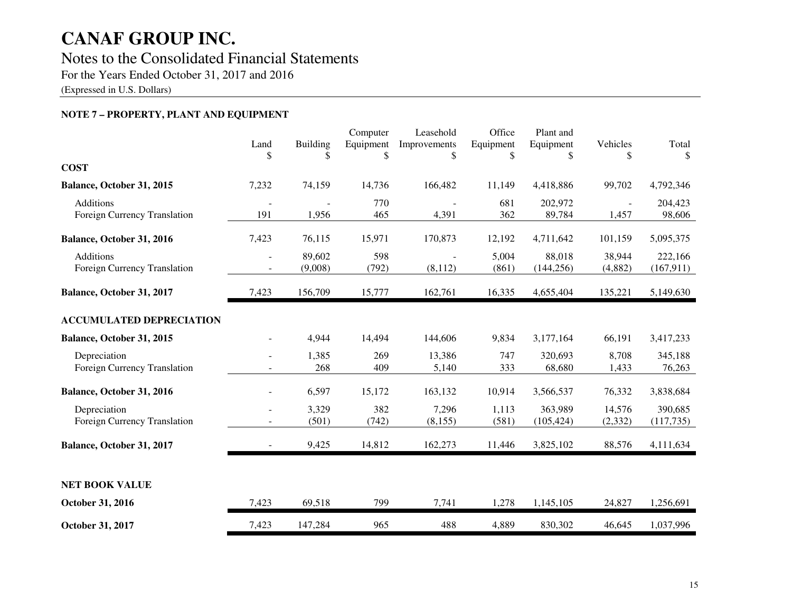### Notes to the Consolidated Financial Statements

For the Years Ended October 31, 2017 and 2016

(Expressed in U.S. Dollars)

#### **NOTE 7 – PROPERTY, PLANT AND EQUIPMENT**

|                                              | Land                     | <b>Building</b> | Computer<br>Equipment | Leasehold<br>Improvements | Office<br>Equipment | Plant and<br>Equipment | Vehicles           | Total                 |
|----------------------------------------------|--------------------------|-----------------|-----------------------|---------------------------|---------------------|------------------------|--------------------|-----------------------|
| <b>COST</b>                                  | S                        | \$              | \$                    | \$                        | \$                  | \$                     |                    | \$                    |
| Balance, October 31, 2015                    | 7,232                    | 74,159          | 14,736                | 166,482                   | 11,149              | 4,418,886              | 99,702             | 4,792,346             |
| <b>Additions</b>                             |                          |                 | 770                   |                           | 681                 | 202,972                |                    | 204,423               |
| Foreign Currency Translation                 | 191                      | 1,956           | 465                   | 4,391                     | 362                 | 89,784                 | 1,457              | 98,606                |
| Balance, October 31, 2016                    | 7,423                    | 76,115          | 15,971                | 170,873                   | 12,192              | 4,711,642              | 101,159            | 5,095,375             |
| <b>Additions</b>                             |                          | 89,602          | 598                   |                           | 5,004               | 88,018                 | 38,944             | 222,166               |
| Foreign Currency Translation                 | $\overline{\phantom{a}}$ | (9,008)         | (792)                 | (8,112)                   | (861)               | (144, 256)             | (4,882)            | (167, 911)            |
| Balance, October 31, 2017                    | 7,423                    | 156,709         | 15,777                | 162,761                   | 16,335              | 4,655,404              | 135,221            | 5,149,630             |
| <b>ACCUMULATED DEPRECIATION</b>              |                          |                 |                       |                           |                     |                        |                    |                       |
| Balance, October 31, 2015                    |                          | 4,944           | 14,494                | 144,606                   | 9,834               | 3,177,164              | 66,191             | 3,417,233             |
| Depreciation<br>Foreign Currency Translation | $\sim$                   | 1,385<br>268    | 269<br>409            | 13,386<br>5,140           | 747<br>333          | 320,693<br>68,680      | 8,708<br>1,433     | 345,188<br>76,263     |
| Balance, October 31, 2016                    |                          | 6,597           | 15,172                | 163,132                   | 10,914              | 3,566,537              | 76,332             | 3,838,684             |
| Depreciation<br>Foreign Currency Translation | $\overline{\phantom{a}}$ | 3,329<br>(501)  | 382<br>(742)          | 7,296<br>(8, 155)         | 1,113<br>(581)      | 363,989<br>(105, 424)  | 14,576<br>(2, 332) | 390,685<br>(117, 735) |
| Balance, October 31, 2017                    |                          | 9,425           | 14,812                | 162,273                   | 11,446              | 3,825,102              | 88,576             | 4,111,634             |
| <b>NET BOOK VALUE</b>                        |                          |                 |                       |                           |                     |                        |                    |                       |
| October 31, 2016                             | 7,423                    | 69,518          | 799                   | 7,741                     | 1,278               | 1,145,105              | 24,827             | 1,256,691             |
| October 31, 2017                             | 7,423                    | 147,284         | 965                   | 488                       | 4,889               | 830,302                | 46,645             | 1,037,996             |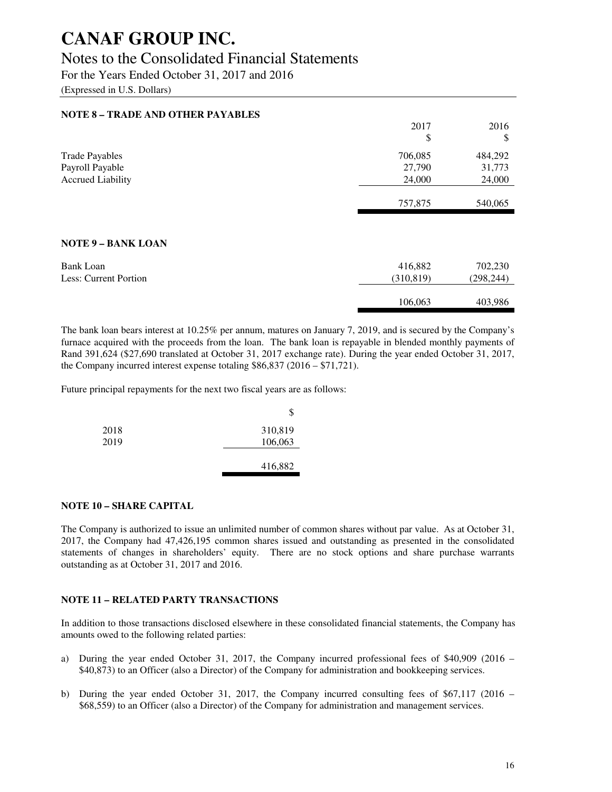### Notes to the Consolidated Financial Statements

For the Years Ended October 31, 2017 and 2016

(Expressed in U.S. Dollars)

| <b>NOTE 8 - TRADE AND OTHER PAYABLES</b> |            |            |
|------------------------------------------|------------|------------|
|                                          | 2017       | 2016       |
|                                          | \$         | \$         |
| <b>Trade Payables</b>                    | 706,085    | 484,292    |
| Payroll Payable                          | 27,790     | 31,773     |
| <b>Accrued Liability</b>                 | 24,000     | 24,000     |
|                                          |            |            |
|                                          | 757,875    | 540,065    |
|                                          |            |            |
| <b>NOTE 9 - BANK LOAN</b>                |            |            |
| <b>Bank Loan</b>                         | 416,882    | 702,230    |
| Less: Current Portion                    | (310, 819) | (298, 244) |
|                                          |            |            |
|                                          | 106,063    | 403,986    |
|                                          |            |            |

The bank loan bears interest at 10.25% per annum, matures on January 7, 2019, and is secured by the Company's furnace acquired with the proceeds from the loan. The bank loan is repayable in blended monthly payments of Rand 391,624 (\$27,690 translated at October 31, 2017 exchange rate). During the year ended October 31, 2017, the Company incurred interest expense totaling \$86,837 (2016 – \$71,721).

Future principal repayments for the next two fiscal years are as follows:

|      | \$      |
|------|---------|
| 2018 | 310,819 |
| 2019 | 106,063 |
|      | 416,882 |

#### **NOTE 10 – SHARE CAPITAL**

The Company is authorized to issue an unlimited number of common shares without par value. As at October 31, 2017, the Company had 47,426,195 common shares issued and outstanding as presented in the consolidated statements of changes in shareholders' equity. There are no stock options and share purchase warrants outstanding as at October 31, 2017 and 2016.

#### **NOTE 11 – RELATED PARTY TRANSACTIONS**

In addition to those transactions disclosed elsewhere in these consolidated financial statements, the Company has amounts owed to the following related parties:

- a) During the year ended October 31, 2017, the Company incurred professional fees of \$40,909 (2016 \$40,873) to an Officer (also a Director) of the Company for administration and bookkeeping services.
- b) During the year ended October 31, 2017, the Company incurred consulting fees of \$67,117 (2016 \$68,559) to an Officer (also a Director) of the Company for administration and management services.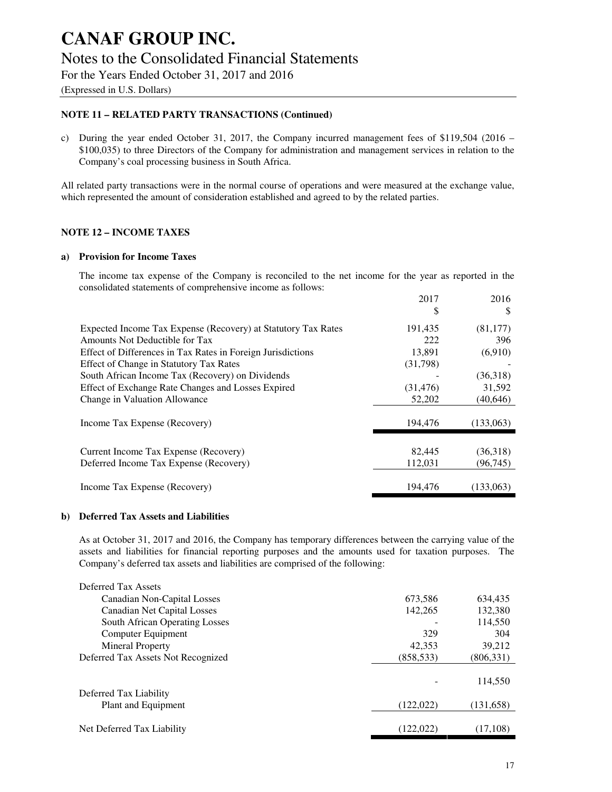### Notes to the Consolidated Financial Statements

For the Years Ended October 31, 2017 and 2016

(Expressed in U.S. Dollars)

#### **NOTE 11 – RELATED PARTY TRANSACTIONS (Continued)**

c) During the year ended October 31, 2017, the Company incurred management fees of \$119,504 (2016 – \$100,035) to three Directors of the Company for administration and management services in relation to the Company's coal processing business in South Africa.

All related party transactions were in the normal course of operations and were measured at the exchange value, which represented the amount of consideration established and agreed to by the related parties.

#### **NOTE 12 – INCOME TAXES**

#### **a) Provision for Income Taxes**

The income tax expense of the Company is reconciled to the net income for the year as reported in the consolidated statements of comprehensive income as follows:

|                                                               | 2017<br>\$ | 2016<br>S |
|---------------------------------------------------------------|------------|-----------|
|                                                               |            |           |
| Expected Income Tax Expense (Recovery) at Statutory Tax Rates | 191,435    | (81, 177) |
| Amounts Not Deductible for Tax                                | 222        | 396       |
| Effect of Differences in Tax Rates in Foreign Jurisdictions   | 13,891     | (6,910)   |
| Effect of Change in Statutory Tax Rates                       | (31,798)   |           |
| South African Income Tax (Recovery) on Dividends              |            | (36,318)  |
| Effect of Exchange Rate Changes and Losses Expired            | (31, 476)  | 31,592    |
| Change in Valuation Allowance                                 | 52,202     | (40,646)  |
|                                                               |            |           |
| Income Tax Expense (Recovery)                                 | 194,476    | (133,063) |
|                                                               |            |           |
| Current Income Tax Expense (Recovery)                         | 82,445     | (36,318)  |
| Deferred Income Tax Expense (Recovery)                        | 112,031    | (96, 745) |
|                                                               |            |           |
| Income Tax Expense (Recovery)                                 | 194,476    | (133,063) |

#### **b) Deferred Tax Assets and Liabilities**

As at October 31, 2017 and 2016, the Company has temporary differences between the carrying value of the assets and liabilities for financial reporting purposes and the amounts used for taxation purposes. The Company's deferred tax assets and liabilities are comprised of the following:

| Deferred Tax Assets                |            |            |
|------------------------------------|------------|------------|
| Canadian Non-Capital Losses        | 673,586    | 634,435    |
| Canadian Net Capital Losses        | 142,265    | 132,380    |
| South African Operating Losses     |            | 114,550    |
| Computer Equipment                 | 329        | 304        |
| Mineral Property                   | 42,353     | 39,212     |
| Deferred Tax Assets Not Recognized | (858, 533) | (806, 331) |
|                                    |            |            |
|                                    |            | 114,550    |
| Deferred Tax Liability             |            |            |
| Plant and Equipment                | (122, 022) | (131, 658) |
| Net Deferred Tax Liability         | (122.022)  | (17.108)   |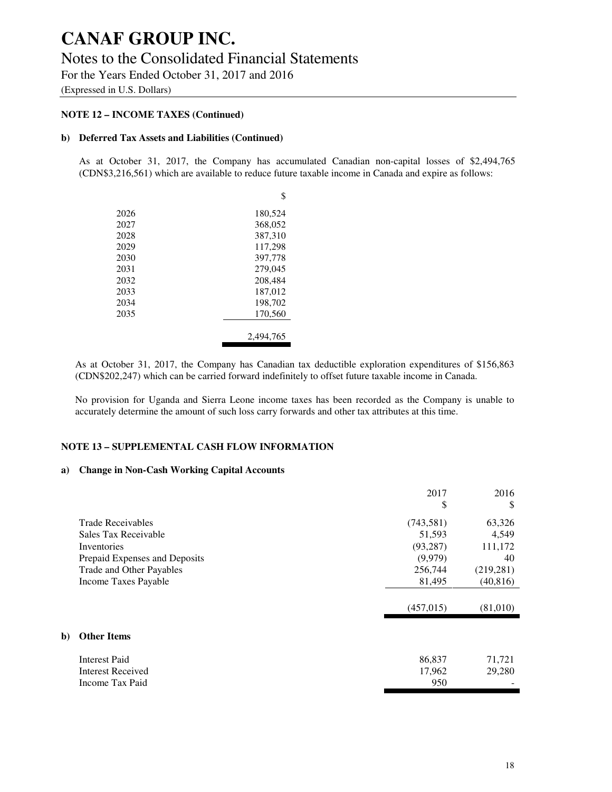### Notes to the Consolidated Financial Statements

For the Years Ended October 31, 2017 and 2016

(Expressed in U.S. Dollars)

#### **NOTE 12 – INCOME TAXES (Continued)**

#### **b) Deferred Tax Assets and Liabilities (Continued)**

As at October 31, 2017, the Company has accumulated Canadian non-capital losses of \$2,494,765 (CDN\$3,216,561) which are available to reduce future taxable income in Canada and expire as follows:

| 2026<br>180,524<br>368,052<br>2027<br>2028<br>387,310<br>2029<br>117,298<br>397,778<br>2030<br>2031<br>279,045<br>2032<br>208,484<br>187,012<br>2033<br>2034<br>198,702<br>2035<br>170,560 | \$        |
|--------------------------------------------------------------------------------------------------------------------------------------------------------------------------------------------|-----------|
|                                                                                                                                                                                            |           |
|                                                                                                                                                                                            |           |
|                                                                                                                                                                                            |           |
|                                                                                                                                                                                            |           |
|                                                                                                                                                                                            |           |
|                                                                                                                                                                                            |           |
|                                                                                                                                                                                            |           |
|                                                                                                                                                                                            |           |
|                                                                                                                                                                                            |           |
|                                                                                                                                                                                            |           |
|                                                                                                                                                                                            |           |
|                                                                                                                                                                                            | 2.494.765 |

As at October 31, 2017, the Company has Canadian tax deductible exploration expenditures of \$156,863 (CDN\$202,247) which can be carried forward indefinitely to offset future taxable income in Canada.

No provision for Uganda and Sierra Leone income taxes has been recorded as the Company is unable to accurately determine the amount of such loss carry forwards and other tax attributes at this time.

#### **NOTE 13 – SUPPLEMENTAL CASH FLOW INFORMATION**

#### **a) Change in Non-Cash Working Capital Accounts**

**b**)

|                               | 2017       | 2016       |
|-------------------------------|------------|------------|
|                               | \$         | \$         |
| <b>Trade Receivables</b>      | (743, 581) | 63,326     |
| Sales Tax Receivable          | 51,593     | 4,549      |
| Inventories                   | (93, 287)  | 111,172    |
| Prepaid Expenses and Deposits | (9,979)    | 40         |
| Trade and Other Payables      | 256,744    | (219, 281) |
| Income Taxes Payable          | 81,495     | (40, 816)  |
|                               | (457, 015) | (81,010)   |
| <b>Other Items</b>            |            |            |
| <b>Interest Paid</b>          | 86,837     | 71,721     |
| Interest Received             | 17,962     | 29,280     |
| Income Tax Paid               | 950        |            |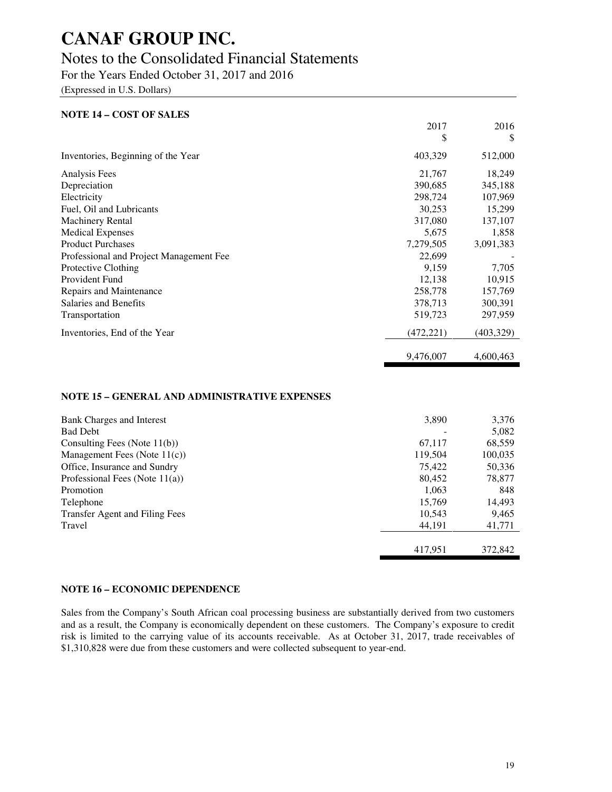### Notes to the Consolidated Financial Statements

For the Years Ended October 31, 2017 and 2016

(Expressed in U.S. Dollars)

#### **NOTE 14 – COST OF SALES**

|                                         | 2017       | 2016      |
|-----------------------------------------|------------|-----------|
|                                         | \$         | S         |
| Inventories, Beginning of the Year      | 403,329    | 512,000   |
| Analysis Fees                           | 21,767     | 18,249    |
| Depreciation                            | 390,685    | 345,188   |
| Electricity                             | 298,724    | 107,969   |
| Fuel, Oil and Lubricants                | 30,253     | 15,299    |
| <b>Machinery Rental</b>                 | 317,080    | 137,107   |
| <b>Medical Expenses</b>                 | 5,675      | 1,858     |
| <b>Product Purchases</b>                | 7,279,505  | 3,091,383 |
| Professional and Project Management Fee | 22,699     |           |
| Protective Clothing                     | 9,159      | 7,705     |
| Provident Fund                          | 12,138     | 10,915    |
| Repairs and Maintenance                 | 258,778    | 157,769   |
| Salaries and Benefits                   | 378,713    | 300,391   |
| Transportation                          | 519,723    | 297,959   |
| Inventories, End of the Year            | (472, 221) | (403,329) |
|                                         | 9,476,007  | 4,600,463 |

#### **NOTE 15 – GENERAL AND ADMINISTRATIVE EXPENSES**

| <b>Bank Charges and Interest</b>  | 3,890   | 3,376   |
|-----------------------------------|---------|---------|
| <b>Bad Debt</b>                   |         | 5,082   |
| Consulting Fees (Note $11(b)$ )   | 67,117  | 68,559  |
| Management Fees (Note $11(c)$ )   | 119,504 | 100,035 |
| Office, Insurance and Sundry      | 75.422  | 50,336  |
| Professional Fees (Note $11(a)$ ) | 80,452  | 78,877  |
| Promotion                         | 1,063   | 848     |
| Telephone                         | 15,769  | 14,493  |
| Transfer Agent and Filing Fees    | 10,543  | 9,465   |
| Travel                            | 44,191  | 41,771  |
|                                   | 417,951 | 372,842 |

#### **NOTE 16 – ECONOMIC DEPENDENCE**

Sales from the Company's South African coal processing business are substantially derived from two customers and as a result, the Company is economically dependent on these customers. The Company's exposure to credit risk is limited to the carrying value of its accounts receivable. As at October 31, 2017, trade receivables of \$1,310,828 were due from these customers and were collected subsequent to year-end.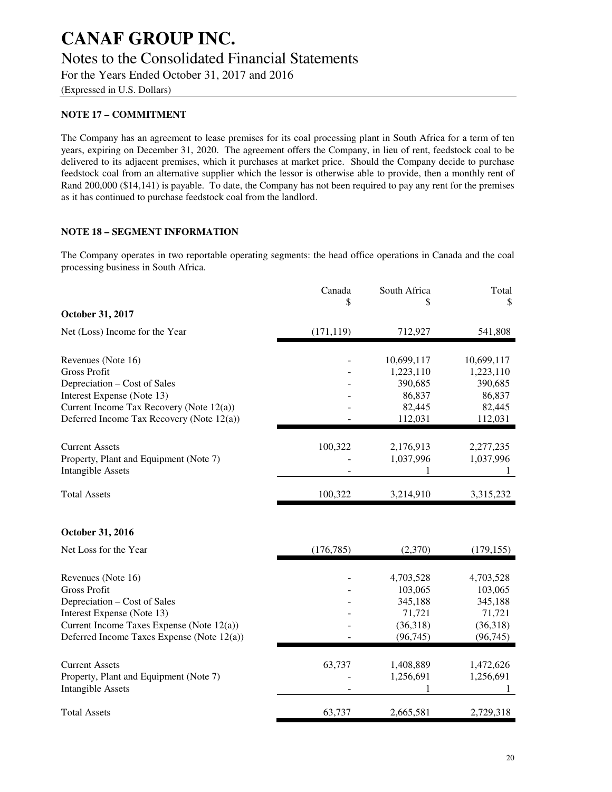### Notes to the Consolidated Financial Statements

For the Years Ended October 31, 2017 and 2016

(Expressed in U.S. Dollars)

#### **NOTE 17 – COMMITMENT**

The Company has an agreement to lease premises for its coal processing plant in South Africa for a term of ten years, expiring on December 31, 2020. The agreement offers the Company, in lieu of rent, feedstock coal to be delivered to its adjacent premises, which it purchases at market price. Should the Company decide to purchase feedstock coal from an alternative supplier which the lessor is otherwise able to provide, then a monthly rent of Rand 200,000 (\$14,141) is payable. To date, the Company has not been required to pay any rent for the premises as it has continued to purchase feedstock coal from the landlord.

#### **NOTE 18 – SEGMENT INFORMATION**

The Company operates in two reportable operating segments: the head office operations in Canada and the coal processing business in South Africa.

| \$<br>S<br>October 31, 2017                             | \$         |
|---------------------------------------------------------|------------|
|                                                         |            |
| Net (Loss) Income for the Year<br>(171, 119)<br>712,927 | 541,808    |
| Revenues (Note 16)<br>10,699,117                        | 10,699,117 |
| <b>Gross Profit</b><br>1,223,110                        | 1,223,110  |
| Depreciation – Cost of Sales<br>390,685                 | 390,685    |
| Interest Expense (Note 13)<br>86,837                    | 86,837     |
| Current Income Tax Recovery (Note 12(a))<br>82,445      | 82,445     |
| Deferred Income Tax Recovery (Note 12(a))<br>112,031    | 112,031    |
| 100,322<br><b>Current Assets</b><br>2,176,913           | 2,277,235  |
| Property, Plant and Equipment (Note 7)<br>1,037,996     | 1,037,996  |
| <b>Intangible Assets</b><br>1                           | 1          |
| <b>Total Assets</b><br>100,322<br>3,214,910             | 3,315,232  |
| October 31, 2016                                        |            |
| Net Loss for the Year<br>(176, 785)<br>(2,370)          | (179, 155) |
| Revenues (Note 16)<br>4,703,528                         | 4,703,528  |
| <b>Gross Profit</b><br>103,065                          | 103,065    |
| Depreciation – Cost of Sales<br>345,188                 | 345,188    |
| Interest Expense (Note 13)<br>71,721                    | 71,721     |
| Current Income Taxes Expense (Note 12(a))<br>(36,318)   | (36,318)   |
| (96, 745)<br>Deferred Income Taxes Expense (Note 12(a)) | (96, 745)  |
| 63,737<br><b>Current Assets</b><br>1,408,889            | 1,472,626  |
| Property, Plant and Equipment (Note 7)<br>1,256,691     | 1,256,691  |
| <b>Intangible Assets</b><br>1                           | 1          |
| <b>Total Assets</b><br>63,737<br>2,665,581              | 2,729,318  |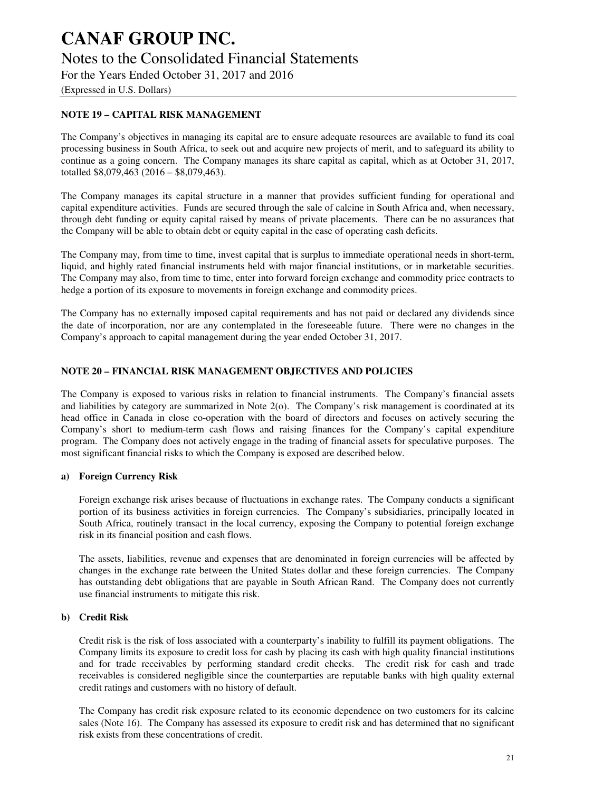## **CANAF GROUP INC.** Notes to the Consolidated Financial Statements

For the Years Ended October 31, 2017 and 2016

(Expressed in U.S. Dollars)

#### **NOTE 19 – CAPITAL RISK MANAGEMENT**

The Company's objectives in managing its capital are to ensure adequate resources are available to fund its coal processing business in South Africa, to seek out and acquire new projects of merit, and to safeguard its ability to continue as a going concern. The Company manages its share capital as capital, which as at October 31, 2017, totalled \$8,079,463 (2016 – \$8,079,463).

The Company manages its capital structure in a manner that provides sufficient funding for operational and capital expenditure activities. Funds are secured through the sale of calcine in South Africa and, when necessary, through debt funding or equity capital raised by means of private placements. There can be no assurances that the Company will be able to obtain debt or equity capital in the case of operating cash deficits.

The Company may, from time to time, invest capital that is surplus to immediate operational needs in short-term, liquid, and highly rated financial instruments held with major financial institutions, or in marketable securities. The Company may also, from time to time, enter into forward foreign exchange and commodity price contracts to hedge a portion of its exposure to movements in foreign exchange and commodity prices.

The Company has no externally imposed capital requirements and has not paid or declared any dividends since the date of incorporation, nor are any contemplated in the foreseeable future. There were no changes in the Company's approach to capital management during the year ended October 31, 2017.

#### **NOTE 20 – FINANCIAL RISK MANAGEMENT OBJECTIVES AND POLICIES**

The Company is exposed to various risks in relation to financial instruments. The Company's financial assets and liabilities by category are summarized in Note 2(o). The Company's risk management is coordinated at its head office in Canada in close co-operation with the board of directors and focuses on actively securing the Company's short to medium-term cash flows and raising finances for the Company's capital expenditure program. The Company does not actively engage in the trading of financial assets for speculative purposes. The most significant financial risks to which the Company is exposed are described below.

#### **a) Foreign Currency Risk**

Foreign exchange risk arises because of fluctuations in exchange rates. The Company conducts a significant portion of its business activities in foreign currencies. The Company's subsidiaries, principally located in South Africa, routinely transact in the local currency, exposing the Company to potential foreign exchange risk in its financial position and cash flows.

The assets, liabilities, revenue and expenses that are denominated in foreign currencies will be affected by changes in the exchange rate between the United States dollar and these foreign currencies. The Company has outstanding debt obligations that are payable in South African Rand. The Company does not currently use financial instruments to mitigate this risk.

#### **b) Credit Risk**

Credit risk is the risk of loss associated with a counterparty's inability to fulfill its payment obligations. The Company limits its exposure to credit loss for cash by placing its cash with high quality financial institutions and for trade receivables by performing standard credit checks. The credit risk for cash and trade receivables is considered negligible since the counterparties are reputable banks with high quality external credit ratings and customers with no history of default.

The Company has credit risk exposure related to its economic dependence on two customers for its calcine sales (Note 16). The Company has assessed its exposure to credit risk and has determined that no significant risk exists from these concentrations of credit.